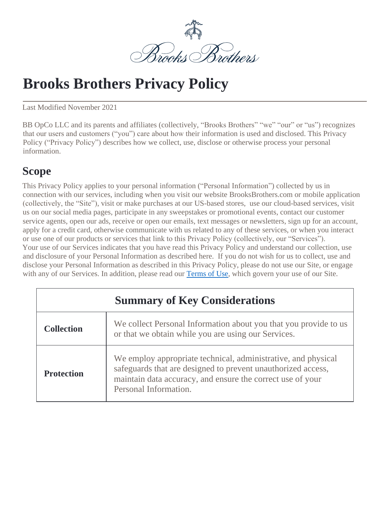

# **Brooks Brothers Privacy Policy**

Last Modified November 2021

BB OpCo LLC and its parents and affiliates (collectively, "Brooks Brothers" "we" "our" or "us") recognizes that our users and customers ("you") care about how their information is used and disclosed. This Privacy Policy ("Privacy Policy") describes how we collect, use, disclose or otherwise process your personal information.

### **Scope**

This Privacy Policy applies to your personal information ("Personal Information") collected by us in connection with our services, including when you visit our website BrooksBrothers.com or mobile application (collectively, the "Site"), visit or make purchases at our US-based stores, use our cloud-based services, visit us on our social media pages, participate in any sweepstakes or promotional events, contact our customer service agents, open our ads, receive or open our emails, text messages or newsletters, sign up for an account, apply for a credit card, otherwise communicate with us related to any of these services, or when you interact or use one of our products or services that link to this Privacy Policy (collectively, our "Services"). Your use of our Services indicates that you have read this Privacy Policy and understand our collection, use and disclosure of your Personal Information as described here. If you do not wish for us to collect, use and disclose your Personal Information as described in this Privacy Policy, please do not use our Site, or engage with any of our Services. In addition, please read our [Terms of Use,](https://www.brooksbrothers.com/Terms-and-Conditions-of_Use/terms-of-use,default,pg.html) which govern your use of our Site.

| <b>Summary of Key Considerations</b> |                                                                                                                                                                                                                      |  |
|--------------------------------------|----------------------------------------------------------------------------------------------------------------------------------------------------------------------------------------------------------------------|--|
| <b>Collection</b>                    | We collect Personal Information about you that you provide to us<br>or that we obtain while you are using our Services.                                                                                              |  |
| <b>Protection</b>                    | We employ appropriate technical, administrative, and physical<br>safeguards that are designed to prevent unauthorized access,<br>maintain data accuracy, and ensure the correct use of your<br>Personal Information. |  |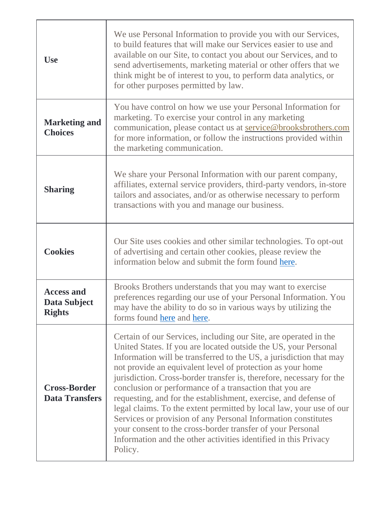| <b>Use</b>                                         | We use Personal Information to provide you with our Services,<br>to build features that will make our Services easier to use and<br>available on our Site, to contact you about our Services, and to<br>send advertisements, marketing material or other offers that we<br>think might be of interest to you, to perform data analytics, or<br>for other purposes permitted by law.                                                                                                                                                                                                                                                                                                                                                                               |
|----------------------------------------------------|-------------------------------------------------------------------------------------------------------------------------------------------------------------------------------------------------------------------------------------------------------------------------------------------------------------------------------------------------------------------------------------------------------------------------------------------------------------------------------------------------------------------------------------------------------------------------------------------------------------------------------------------------------------------------------------------------------------------------------------------------------------------|
| <b>Marketing and</b><br><b>Choices</b>             | You have control on how we use your Personal Information for<br>marketing. To exercise your control in any marketing<br>communication, please contact us at service@brooksbrothers.com<br>for more information, or follow the instructions provided within<br>the marketing communication.                                                                                                                                                                                                                                                                                                                                                                                                                                                                        |
| <b>Sharing</b>                                     | We share your Personal Information with our parent company,<br>affiliates, external service providers, third-party vendors, in-store<br>tailors and associates, and/or as otherwise necessary to perform<br>transactions with you and manage our business.                                                                                                                                                                                                                                                                                                                                                                                                                                                                                                        |
| <b>Cookies</b>                                     | Our Site uses cookies and other similar technologies. To opt-out<br>of advertising and certain other cookies, please review the<br>information below and submit the form found here.                                                                                                                                                                                                                                                                                                                                                                                                                                                                                                                                                                              |
| <b>Access and</b><br>Data Subject<br><b>Rights</b> | Brooks Brothers understands that you may want to exercise<br>preferences regarding our use of your Personal Information. You<br>may have the ability to do so in various ways by utilizing the<br>forms found here and here.                                                                                                                                                                                                                                                                                                                                                                                                                                                                                                                                      |
| <b>Cross-Border</b><br><b>Data Transfers</b>       | Certain of our Services, including our Site, are operated in the<br>United States. If you are located outside the US, your Personal<br>Information will be transferred to the US, a jurisdiction that may<br>not provide an equivalent level of protection as your home<br>jurisdiction. Cross-border transfer is, therefore, necessary for the<br>conclusion or performance of a transaction that you are<br>requesting, and for the establishment, exercise, and defense of<br>legal claims. To the extent permitted by local law, your use of our<br>Services or provision of any Personal Information constitutes<br>your consent to the cross-border transfer of your Personal<br>Information and the other activities identified in this Privacy<br>Policy. |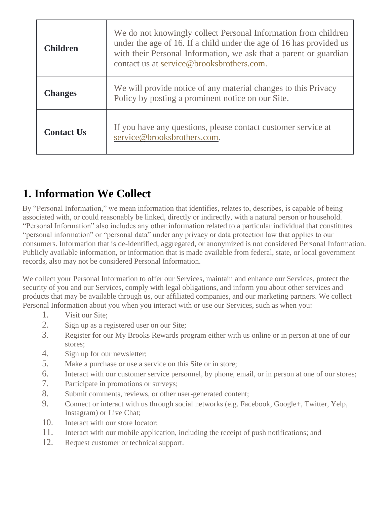| <b>Children</b>   | We do not knowingly collect Personal Information from children<br>under the age of 16. If a child under the age of 16 has provided us<br>with their Personal Information, we ask that a parent or guardian<br>contact us at service@brooksbrothers.com. |
|-------------------|---------------------------------------------------------------------------------------------------------------------------------------------------------------------------------------------------------------------------------------------------------|
| <b>Changes</b>    | We will provide notice of any material changes to this Privacy<br>Policy by posting a prominent notice on our Site.                                                                                                                                     |
| <b>Contact Us</b> | If you have any questions, please contact customer service at<br>service@brooksbrothers.com.                                                                                                                                                            |

# **1. Information We Collect**

By "Personal Information," we mean information that identifies, relates to, describes, is capable of being associated with, or could reasonably be linked, directly or indirectly, with a natural person or household. "Personal Information" also includes any other information related to a particular individual that constitutes "personal information" or "personal data" under any privacy or data protection law that applies to our consumers. Information that is de-identified, aggregated, or anonymized is not considered Personal Information. Publicly available information, or information that is made available from federal, state, or local government records, also may not be considered Personal Information.

We collect your Personal Information to offer our Services, maintain and enhance our Services, protect the security of you and our Services, comply with legal obligations, and inform you about other services and products that may be available through us, our affiliated companies, and our marketing partners. We collect Personal Information about you when you interact with or use our Services, such as when you:

- 1. Visit our Site;
- 2. Sign up as a registered user on our Site;
- 3. Register for our My Brooks Rewards program either with us online or in person at one of our stores;
- 4. Sign up for our newsletter;
- 5. Make a purchase or use a service on this Site or in store;
- 6. Interact with our customer service personnel, by phone, email, or in person at one of our stores;
- 7. Participate in promotions or surveys;
- 8. Submit comments, reviews, or other user-generated content;
- 9. Connect or interact with us through social networks (e.g. Facebook, Google+, Twitter, Yelp, Instagram) or Live Chat;
- 10. Interact with our store locator:
- 11. Interact with our mobile application, including the receipt of push notifications; and
- 12. Request customer or technical support.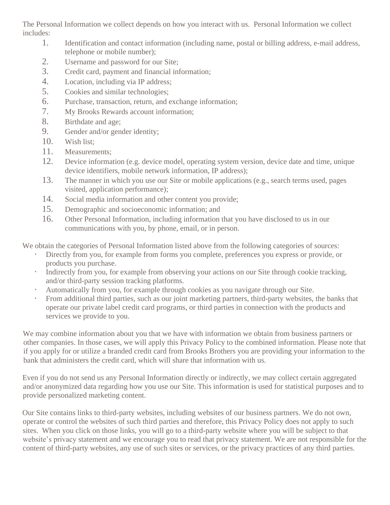The Personal Information we collect depends on how you interact with us. Personal Information we collect includes:

- 1. Identification and contact information (including name, postal or billing address, e-mail address, telephone or mobile number);
- 2. Username and password for our Site;
- 3. Credit card, payment and financial information;
- 4. Location, including via IP address;
- 5. Cookies and similar technologies;
- 6. Purchase, transaction, return, and exchange information;
- 7. My Brooks Rewards account information;
- 8. Birthdate and age;
- 9. Gender and/or gender identity;
- 10. Wish list;
- 11. Measurements;
- 12. Device information (e.g. device model, operating system version, device date and time, unique device identifiers, mobile network information, IP address);
- 13. The manner in which you use our Site or mobile applications (e.g., search terms used, pages visited, application performance);
- 14. Social media information and other content you provide;
- 15. Demographic and socioeconomic information; and
- 16. Other Personal Information, including information that you have disclosed to us in our communications with you, by phone, email, or in person.

We obtain the categories of Personal Information listed above from the following categories of sources:

- Directly from you, for example from forms you complete, preferences you express or provide, or products you purchase.
- Indirectly from you, for example from observing your actions on our Site through cookie tracking, and/or third-party session tracking platforms.
- Automatically from you, for example through cookies as you navigate through our Site.
- From additional third parties, such as our joint marketing partners, third-party websites, the banks that operate our private label credit card programs, or third parties in connection with the products and services we provide to you.

We may combine information about you that we have with information we obtain from business partners or other companies. In those cases, we will apply this Privacy Policy to the combined information. Please note that if you apply for or utilize a branded credit card from Brooks Brothers you are providing your information to the bank that administers the credit card, which will share that information with us.

Even if you do not send us any Personal Information directly or indirectly, we may collect certain aggregated and/or anonymized data regarding how you use our Site. This information is used for statistical purposes and to provide personalized marketing content.

Our Site contains links to third-party websites, including websites of our business partners. We do not own, operate or control the websites of such third parties and therefore, this Privacy Policy does not apply to such sites. When you click on those links, you will go to a third-party website where you will be subject to that website's privacy statement and we encourage you to read that privacy statement. We are not responsible for the content of third-party websites, any use of such sites or services, or the privacy practices of any third parties.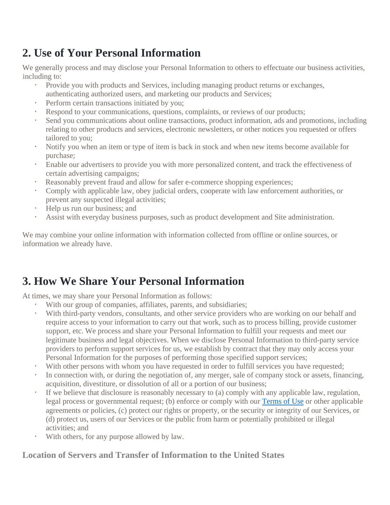# **2. Use of Your Personal Information**

We generally process and may disclose your Personal Information to others to effectuate our business activities, including to:

- Provide you with products and Services, including managing product returns or exchanges, authenticating authorized users, and marketing our products and Services;
- Perform certain transactions initiated by you;
- Respond to your communications, questions, complaints, or reviews of our products;
- Send you communications about online transactions, product information, ads and promotions, including relating to other products and services, electronic newsletters, or other notices you requested or offers tailored to you;
- Notify you when an item or type of item is back in stock and when new items become available for purchase;
- Enable our advertisers to provide you with more personalized content, and track the effectiveness of certain advertising campaigns;
- Reasonably prevent fraud and allow for safer e-commerce shopping experiences;
- Comply with applicable law, obey judicial orders, cooperate with law enforcement authorities, or prevent any suspected illegal activities;
- Help us run our business; and
- Assist with everyday business purposes, such as product development and Site administration.

We may combine your online information with information collected from offline or online sources, or information we already have.

# **3. How We Share Your Personal Information**

At times, we may share your Personal Information as follows:

- With our group of companies, affiliates, parents, and subsidiaries;
- With third-party vendors, consultants, and other service providers who are working on our behalf and require access to your information to carry out that work, such as to process billing, provide customer support, etc. We process and share your Personal Information to fulfill your requests and meet our legitimate business and legal objectives. When we disclose Personal Information to third-party service providers to perform support services for us, we establish by contract that they may only access your Personal Information for the purposes of performing those specified support services;
- With other persons with whom you have requested in order to fulfill services you have requested;
- In connection with, or during the negotiation of, any merger, sale of company stock or assets, financing, acquisition, divestiture, or dissolution of all or a portion of our business;
- If we believe that disclosure is reasonably necessary to (a) comply with any applicable law, regulation, legal process or governmental request; (b) enforce or comply with our [Terms of Use](https://www.brooksbrothers.com/Terms-and-Conditions-of_Use/terms-of-use,default,pg.html) or other applicable agreements or policies, (c) protect our rights or property, or the security or integrity of our Services, or (d) protect us, users of our Services or the public from harm or potentially prohibited or illegal activities; and
- With others, for any purpose allowed by law.

### **Location of Servers and Transfer of Information to the United States**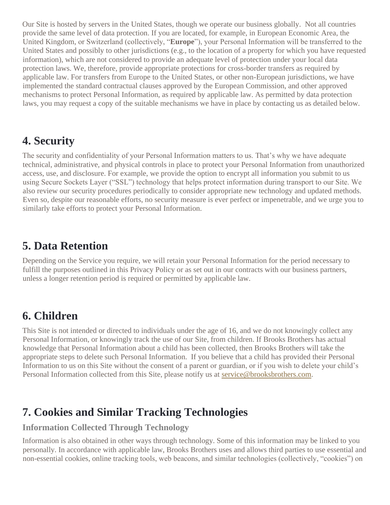Our Site is hosted by servers in the United States, though we operate our business globally. Not all countries provide the same level of data protection. If you are located, for example, in European Economic Area, the United Kingdom, or Switzerland (collectively, "**Europe**"), your Personal Information will be transferred to the United States and possibly to other jurisdictions (e.g., to the location of a property for which you have requested information), which are not considered to provide an adequate level of protection under your local data protection laws. We, therefore, provide appropriate protections for cross-border transfers as required by applicable law. For transfers from Europe to the United States, or other non-European jurisdictions, we have implemented the standard contractual clauses approved by the European Commission, and other approved mechanisms to protect Personal Information, as required by applicable law. As permitted by data protection laws, you may request a copy of the suitable mechanisms we have in place by contacting us as detailed below.

### **4. Security**

The security and confidentiality of your Personal Information matters to us. That's why we have adequate technical, administrative, and physical controls in place to protect your Personal Information from unauthorized access, use, and disclosure. For example, we provide the option to encrypt all information you submit to us using Secure Sockets Layer ("SSL") technology that helps protect information during transport to our Site. We also review our security procedures periodically to consider appropriate new technology and updated methods. Even so, despite our reasonable efforts, no security measure is ever perfect or impenetrable, and we urge you to similarly take efforts to protect your Personal Information.

### **5. Data Retention**

Depending on the Service you require, we will retain your Personal Information for the period necessary to fulfill the purposes outlined in this Privacy Policy or as set out in our contracts with our business partners, unless a longer retention period is required or permitted by applicable law.

# **6. Children**

This Site is not intended or directed to individuals under the age of 16, and we do not knowingly collect any Personal Information, or knowingly track the use of our Site, from children. If Brooks Brothers has actual knowledge that Personal Information about a child has been collected, then Brooks Brothers will take the appropriate steps to delete such Personal Information. If you believe that a child has provided their Personal Information to us on this Site without the consent of a parent or guardian, or if you wish to delete your child's Personal Information collected from this Site, please notify us at service@brooksbrothers.com.

# **7. Cookies and Similar Tracking Technologies**

### **Information Collected Through Technology**

Information is also obtained in other ways through technology. Some of this information may be linked to you personally. In accordance with applicable law, Brooks Brothers uses and allows third parties to use essential and non-essential cookies, online tracking tools, web beacons, and similar technologies (collectively, "cookies") on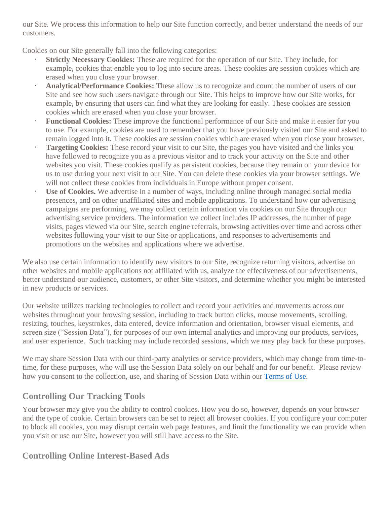our Site. We process this information to help our Site function correctly, and better understand the needs of our customers.

Cookies on our Site generally fall into the following categories:

- **Strictly Necessary Cookies:** These are required for the operation of our Site. They include, for example, cookies that enable you to log into secure areas. These cookies are session cookies which are erased when you close your browser.
- **Analytical/Performance Cookies:** These allow us to recognize and count the number of users of our Site and see how such users navigate through our Site. This helps to improve how our Site works, for example, by ensuring that users can find what they are looking for easily. These cookies are session cookies which are erased when you close your browser.
- **Functional Cookies:** These improve the functional performance of our Site and make it easier for you to use. For example, cookies are used to remember that you have previously visited our Site and asked to remain logged into it. These cookies are session cookies which are erased when you close your browser.
- **Targeting Cookies:** These record your visit to our Site, the pages you have visited and the links you have followed to recognize you as a previous visitor and to track your activity on the Site and other websites you visit. These cookies qualify as persistent cookies, because they remain on your device for us to use during your next visit to our Site. You can delete these cookies via your browser settings. We will not collect these cookies from individuals in Europe without proper consent.
- **Use of Cookies.** We advertise in a number of ways, including online through managed social media presences, and on other unaffiliated sites and mobile applications. To understand how our advertising campaigns are performing, we may collect certain information via cookies on our Site through our advertising service providers. The information we collect includes IP addresses, the number of page visits, pages viewed via our Site, search engine referrals, browsing activities over time and across other websites following your visit to our Site or applications, and responses to advertisements and promotions on the websites and applications where we advertise.

We also use certain information to identify new visitors to our Site, recognize returning visitors, advertise on other websites and mobile applications not affiliated with us, analyze the effectiveness of our advertisements, better understand our audience, customers, or other Site visitors, and determine whether you might be interested in new products or services.

Our website utilizes tracking technologies to collect and record your activities and movements across our websites throughout your browsing session, including to track button clicks, mouse movements, scrolling, resizing, touches, keystrokes, data entered, device information and orientation, browser visual elements, and screen size ("Session Data"), for purposes of our own internal analytics and improving our products, services, and user experience. Such tracking may include recorded sessions, which we may play back for these purposes.

We may share Session Data with our third-party analytics or service providers, which may change from time-totime, for these purposes, who will use the Session Data solely on our behalf and for our benefit. Please review how you consent to the collection, use, and sharing of Session Data within our [Terms of Use.](https://www.brooksbrothers.com/Terms-and-Conditions-of_Use/terms-of-use,default,pg.html)

### **Controlling Our Tracking Tools**

Your browser may give you the ability to control cookies. How you do so, however, depends on your browser and the type of cookie. Certain browsers can be set to reject all browser cookies. If you configure your computer to block all cookies, you may disrupt certain web page features, and limit the functionality we can provide when you visit or use our Site, however you will still have access to the Site.

### **Controlling Online Interest-Based Ads**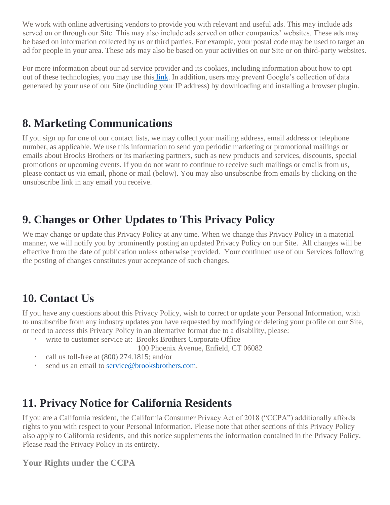We work with online advertising vendors to provide you with relevant and useful ads. This may include ads served on or through our Site. This may also include ads served on other companies' websites. These ads may be based on information collected by us or third parties. For example, your postal code may be used to target an ad for people in your area. These ads may also be based on your activities on our Site or on third-party websites.

For more information about our ad service provider and its cookies, including information about how to opt out of these technologies, you may use this [link.](http://optout.aboutads.info/) In addition, users may prevent Google's collection of data generated by your use of our Site (including your IP address) by downloading and installing a browser plugin.

### **8. Marketing Communications**

If you sign up for one of our contact lists, we may collect your mailing address, email address or telephone number, as applicable. We use this information to send you periodic marketing or promotional mailings or emails about Brooks Brothers or its marketing partners, such as new products and services, discounts, special promotions or upcoming events. If you do not want to continue to receive such mailings or emails from us, please contact us via email, phone or mail (below). You may also unsubscribe from emails by clicking on the unsubscribe link in any email you receive.

### **9. Changes or Other Updates to This Privacy Policy**

We may change or update this Privacy Policy at any time. When we change this Privacy Policy in a material manner, we will notify you by prominently posting an updated Privacy Policy on our Site. All changes will be effective from the date of publication unless otherwise provided. Your continued use of our Services following the posting of changes constitutes your acceptance of such changes.

### **10. Contact Us**

If you have any questions about this Privacy Policy, wish to correct or update your Personal Information, wish to unsubscribe from any industry updates you have requested by modifying or deleting your profile on our Site, or need to access this Privacy Policy in an alternative format due to a disability, please:

- write to customer service at: Brooks Brothers Corporate Office
	- 100 Phoenix Avenue, Enfield, CT 06082
- call us toll-free at (800) 274.1815; and/or
- send us an email to [service@brooksbrothers.com.](mailto:service@brooksbrothers.com)

### **11. Privacy Notice for California Residents**

If you are a California resident, the California Consumer Privacy Act of 2018 ("CCPA") additionally affords rights to you with respect to your Personal Information. Please note that other sections of this Privacy Policy also apply to California residents, and this notice supplements the information contained in the Privacy Policy. Please read the Privacy Policy in its entirety.

#### **Your Rights under the CCPA**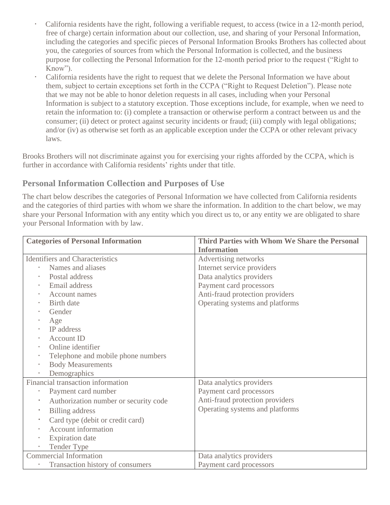- California residents have the right, following a verifiable request, to access (twice in a 12-month period, free of charge) certain information about our collection, use, and sharing of your Personal Information, including the categories and specific pieces of Personal Information Brooks Brothers has collected about you, the categories of sources from which the Personal Information is collected, and the business purpose for collecting the Personal Information for the 12-month period prior to the request ("Right to Know").
- California residents have the right to request that we delete the Personal Information we have about them, subject to certain exceptions set forth in the CCPA ("Right to Request Deletion"). Please note that we may not be able to honor deletion requests in all cases, including when your Personal Information is subject to a statutory exception. Those exceptions include, for example, when we need to retain the information to: (i) complete a transaction or otherwise perform a contract between us and the consumer; (ii) detect or protect against security incidents or fraud; (iii) comply with legal obligations; and/or (iv) as otherwise set forth as an applicable exception under the CCPA or other relevant privacy laws.

Brooks Brothers will not discriminate against you for exercising your rights afforded by the CCPA, which is further in accordance with California residents' rights under that title.

#### **Personal Information Collection and Purposes of Use**

The chart below describes the categories of Personal Information we have collected from California residents and the categories of third parties with whom we share the information. In addition to the chart below, we may share your Personal Information with any entity which you direct us to, or any entity we are obligated to share your Personal Information with by law.

| <b>Categories of Personal Information</b>          | Third Parties with Whom We Share the Personal |
|----------------------------------------------------|-----------------------------------------------|
|                                                    | <b>Information</b>                            |
| <b>Identifiers and Characteristics</b>             | Advertising networks                          |
| Names and aliases                                  | Internet service providers                    |
| Postal address                                     | Data analytics providers                      |
| Email address<br>$\bullet$                         | Payment card processors                       |
| <b>Account names</b><br>$\bullet$                  | Anti-fraud protection providers               |
| Birth date<br>$\bullet$                            | Operating systems and platforms               |
| Gender<br>$\bullet$                                |                                               |
| Age                                                |                                               |
| <b>IP</b> address                                  |                                               |
| <b>Account ID</b><br>$\bullet$                     |                                               |
| Online identifier<br>$\bullet$                     |                                               |
| Telephone and mobile phone numbers<br>$\bullet$    |                                               |
| <b>Body Measurements</b><br>$\bullet$              |                                               |
| Demographics                                       |                                               |
| Financial transaction information                  | Data analytics providers                      |
| Payment card number                                | Payment card processors                       |
| Authorization number or security code<br>$\bullet$ | Anti-fraud protection providers               |
| <b>Billing</b> address<br>$\bullet$                | Operating systems and platforms               |
| Card type (debit or credit card)<br>$\bullet$      |                                               |
| <b>Account information</b>                         |                                               |
| <b>Expiration</b> date                             |                                               |
| <b>Tender Type</b><br>$\bullet$                    |                                               |
| <b>Commercial Information</b>                      | Data analytics providers                      |
| Transaction history of consumers                   | Payment card processors                       |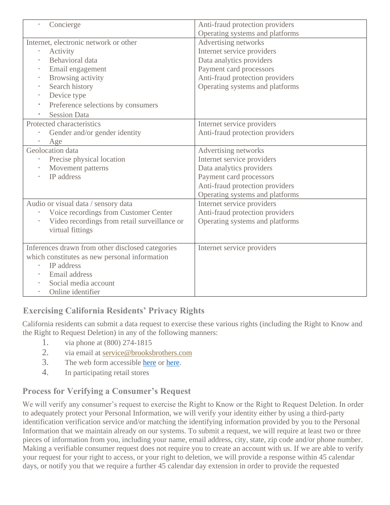| Concierge                                        | Anti-fraud protection providers |
|--------------------------------------------------|---------------------------------|
|                                                  | Operating systems and platforms |
| Internet, electronic network or other            | Advertising networks            |
| Activity<br>$\bullet$                            | Internet service providers      |
| Behavioral data                                  | Data analytics providers        |
| Email engagement<br>$\bullet$                    | Payment card processors         |
| Browsing activity<br>$\bullet$                   | Anti-fraud protection providers |
| Search history<br>$\bullet$                      | Operating systems and platforms |
| Device type<br>$\bullet$                         |                                 |
| Preference selections by consumers               |                                 |
| <b>Session Data</b>                              |                                 |
| Protected characteristics                        | Internet service providers      |
| Gender and/or gender identity                    | Anti-fraud protection providers |
| Age                                              |                                 |
| Geolocation data                                 | Advertising networks            |
| Precise physical location                        | Internet service providers      |
| Movement patterns                                | Data analytics providers        |
| IP address<br>$\bullet$                          | Payment card processors         |
|                                                  | Anti-fraud protection providers |
|                                                  | Operating systems and platforms |
| Audio or visual data / sensory data              | Internet service providers      |
| Voice recordings from Customer Center            | Anti-fraud protection providers |
| Video recordings from retail surveillance or     | Operating systems and platforms |
| virtual fittings                                 |                                 |
|                                                  |                                 |
| Inferences drawn from other disclosed categories | Internet service providers      |
| which constitutes as new personal information    |                                 |
| IP address                                       |                                 |
| Email address                                    |                                 |
| Social media account                             |                                 |
| Online identifier                                |                                 |

### **Exercising California Residents' Privacy Rights**

California residents can submit a data request to exercise these various rights (including the Right to Know and the Right to Request Deletion) in any of the following manners:

- 1. via phone at (800) 274-1815
- 2. via email at service@brooksbrothers.com
- 3. The web form accessible [here](https://privacyportal.onetrust.com/webform/7ffedc21-3dfe-4eb7-83ad-8a52184e6c1a/7a808284-f0c4-4ea8-a643-b07acce3e0aa) or [here.](https://privacyportal.onetrust.com/webform/7ffedc21-3dfe-4eb7-83ad-8a52184e6c1a/8af858e0-34d6-4043-969f-19dfb8e72e8f)
- 4. In participating retail stores

### **Process for Verifying a Consumer's Request**

We will verify any consumer's request to exercise the Right to Know or the Right to Request Deletion. In order to adequately protect your Personal Information, we will verify your identity either by using a third-party identification verification service and/or matching the identifying information provided by you to the Personal Information that we maintain already on our systems. To submit a request, we will require at least two or three pieces of information from you, including your name, email address, city, state, zip code and/or phone number. Making a verifiable consumer request does not require you to create an account with us. If we are able to verify your request for your right to access, or your right to deletion, we will provide a response within 45 calendar days, or notify you that we require a further 45 calendar day extension in order to provide the requested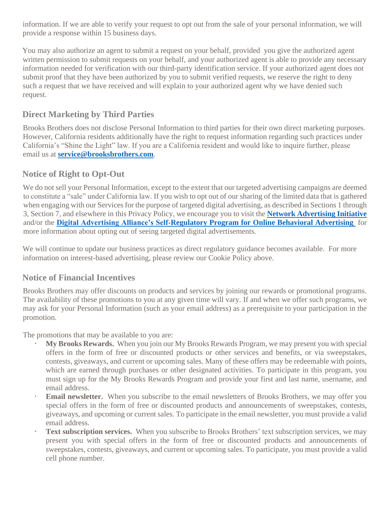information. If we are able to verify your request to opt out from the sale of your personal information, we will provide a response within 15 business days.

You may also authorize an agent to submit a request on your behalf, provided you give the authorized agent written permission to submit requests on your behalf, and your authorized agent is able to provide any necessary information needed for verification with our third-party identification service. If your authorized agent does not submit proof that they have been authorized by you to submit verified requests, we reserve the right to deny such a request that we have received and will explain to your authorized agent why we have denied such request.

#### **Direct Marketing by Third Parties**

Brooks Brothers does not disclose Personal Information to third parties for their own direct marketing purposes. However, California residents additionally have the right to request information regarding such practices under California's "Shine the Light" law. If you are a California resident and would like to inquire further, please email us at **[service@brooksbrothers.com](mailto:service@brooksbrothers.com)**.

#### **Notice of Right to Opt-Out**

We do not sell your Personal Information, except to the extent that our targeted advertising campaigns are deemed to constitute a "sale" under California law. If you wish to opt out of our sharing of the limited data that is gathered when engaging with our Services for the purpose of targeted digital advertising, as described in Sections 1 through 3, Section 7, and elsewhere in this Privacy Policy, we encourage you to visit the **[Network Advertising Initiative](https://optout.networkadvertising.org/?c=1)** and/or the **[Digital Advertising Alliance's Self-Regulatory Program for Online Behavioral Advertising](https://optout.aboutads.info/?c=2&lang=EN)** for more information about opting out of seeing targeted digital advertisements.

We will continue to update our business practices as direct regulatory guidance becomes available. For more information on interest-based advertising, please review our Cookie Policy above.

#### **Notice of Financial Incentives**

Brooks Brothers may offer discounts on products and services by joining our rewards or promotional programs. The availability of these promotions to you at any given time will vary. If and when we offer such programs, we may ask for your Personal Information (such as your email address) as a prerequisite to your participation in the promotion.

The promotions that may be available to you are:

- **My Brooks Rewards.** When you join our My Brooks Rewards Program, we may present you with special offers in the form of free or discounted products or other services and benefits, or via sweepstakes, contests, giveaways, and current or upcoming sales. Many of these offers may be redeemable with points, which are earned through purchases or other designated activities. To participate in this program, you must sign up for the My Brooks Rewards Program and provide your first and last name, username, and email address.
- **Email newsletter.** When you subscribe to the email newsletters of Brooks Brothers, we may offer you special offers in the form of free or discounted products and announcements of sweepstakes, contests, giveaways, and upcoming or current sales. To participate in the email newsletter, you must provide a valid email address.
- **Text subscription services.** When you subscribe to Brooks Brothers' text subscription services, we may present you with special offers in the form of free or discounted products and announcements of sweepstakes, contests, giveaways, and current or upcoming sales. To participate, you must provide a valid cell phone number.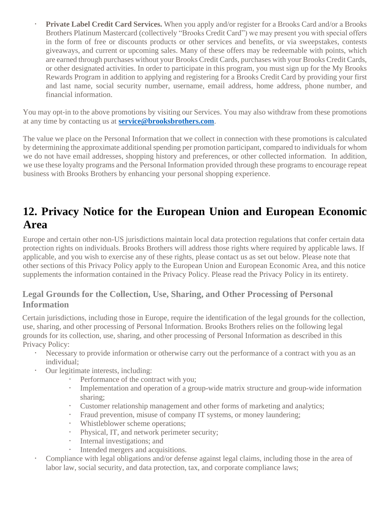**Private Label Credit Card Services.** When you apply and/or register for a Brooks Card and/or a Brooks Brothers Platinum Mastercard (collectively "Brooks Credit Card") we may present you with special offers in the form of free or discounts products or other services and benefits, or via sweepstakes, contests giveaways, and current or upcoming sales. Many of these offers may be redeemable with points, which are earned through purchases without your Brooks Credit Cards, purchases with your Brooks Credit Cards, or other designated activities. In order to participate in this program, you must sign up for the My Brooks Rewards Program in addition to applying and registering for a Brooks Credit Card by providing your first and last name, social security number, username, email address, home address, phone number, and financial information.

You may opt-in to the above promotions by visiting our Services. You may also withdraw from these promotions at any time by contacting us at **[service@brooksbrothers.com](mailto:service@brooksbrothers.com)**.

The value we place on the Personal Information that we collect in connection with these promotions is calculated by determining the approximate additional spending per promotion participant, compared to individuals for whom we do not have email addresses, shopping history and preferences, or other collected information. In addition, we use these loyalty programs and the Personal Information provided through these programs to encourage repeat business with Brooks Brothers by enhancing your personal shopping experience.

### **12. Privacy Notice for the European Union and European Economic Area**

Europe and certain other non-US jurisdictions maintain local data protection regulations that confer certain data protection rights on individuals. Brooks Brothers will address those rights where required by applicable laws. If applicable, and you wish to exercise any of these rights, please contact us as set out below. Please note that other sections of this Privacy Policy apply to the European Union and European Economic Area, and this notice supplements the information contained in the Privacy Policy. Please read the Privacy Policy in its entirety.

#### **Legal Grounds for the Collection, Use, Sharing, and Other Processing of Personal Information**

Certain jurisdictions, including those in Europe, require the identification of the legal grounds for the collection, use, sharing, and other processing of Personal Information. Brooks Brothers relies on the following legal grounds for its collection, use, sharing, and other processing of Personal Information as described in this Privacy Policy:

- Necessary to provide information or otherwise carry out the performance of a contract with you as an individual;
- Our legitimate interests, including:
	- Performance of the contract with you;
	- Implementation and operation of a group-wide matrix structure and group-wide information sharing;
	- Customer relationship management and other forms of marketing and analytics;
	- Fraud prevention, misuse of company IT systems, or money laundering;
	- Whistleblower scheme operations;
	- Physical, IT, and network perimeter security;
	- Internal investigations; and
	- Intended mergers and acquisitions.
- Compliance with legal obligations and/or defense against legal claims, including those in the area of labor law, social security, and data protection, tax, and corporate compliance laws;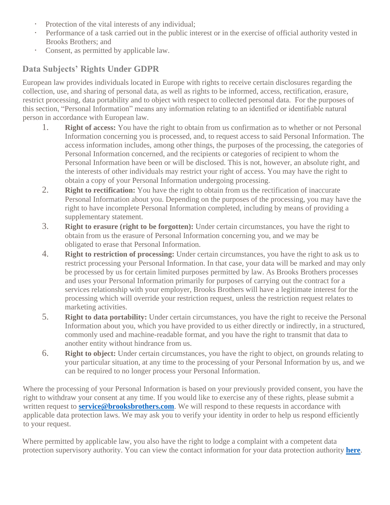- Protection of the vital interests of any individual;
- Performance of a task carried out in the public interest or in the exercise of official authority vested in Brooks Brothers; and
- Consent, as permitted by applicable law.

### **Data Subjects' Rights Under GDPR**

European law provides individuals located in Europe with rights to receive certain disclosures regarding the collection, use, and sharing of personal data, as well as rights to be informed, access, rectification, erasure, restrict processing, data portability and to object with respect to collected personal data. For the purposes of this section, "Personal Information" means any information relating to an identified or identifiable natural person in accordance with European law.

- 1. **Right of access:** You have the right to obtain from us confirmation as to whether or not Personal Information concerning you is processed, and, to request access to said Personal Information. The access information includes, among other things, the purposes of the processing, the categories of Personal Information concerned, and the recipients or categories of recipient to whom the Personal Information have been or will be disclosed. This is not, however, an absolute right, and the interests of other individuals may restrict your right of access. You may have the right to obtain a copy of your Personal Information undergoing processing.
- 2. **Right to rectification:** You have the right to obtain from us the rectification of inaccurate Personal Information about you. Depending on the purposes of the processing, you may have the right to have incomplete Personal Information completed, including by means of providing a supplementary statement.
- 3. **Right to erasure (right to be forgotten):** Under certain circumstances, you have the right to obtain from us the erasure of Personal Information concerning you, and we may be obligated to erase that Personal Information.
- 4. **Right to restriction of processing:** Under certain circumstances, you have the right to ask us to restrict processing your Personal Information. In that case, your data will be marked and may only be processed by us for certain limited purposes permitted by law. As Brooks Brothers processes and uses your Personal Information primarily for purposes of carrying out the contract for a services relationship with your employer, Brooks Brothers will have a legitimate interest for the processing which will override your restriction request, unless the restriction request relates to marketing activities.
- 5. **Right to data portability:** Under certain circumstances, you have the right to receive the Personal Information about you, which you have provided to us either directly or indirectly, in a structured, commonly used and machine-readable format, and you have the right to transmit that data to another entity without hindrance from us.
- 6. **Right to object:** Under certain circumstances, you have the right to object, on grounds relating to your particular situation, at any time to the processing of your Personal Information by us, and we can be required to no longer process your Personal Information.

Where the processing of your Personal Information is based on your previously provided consent, you have the right to withdraw your consent at any time. If you would like to exercise any of these rights, please submit a written request to **[service@brooksbrothers.com](mailto:service@brooksbrothers.com)**. We will respond to these requests in accordance with applicable data protection laws. We may ask you to verify your identity in order to help us respond efficiently to your request.

Where permitted by applicable law, you also have the right to lodge a complaint with a competent data protection supervisory authority. You can view the contact information for your data protection authority **[here](https://edpb.europa.eu/about-edpb/board/members_en.)**.